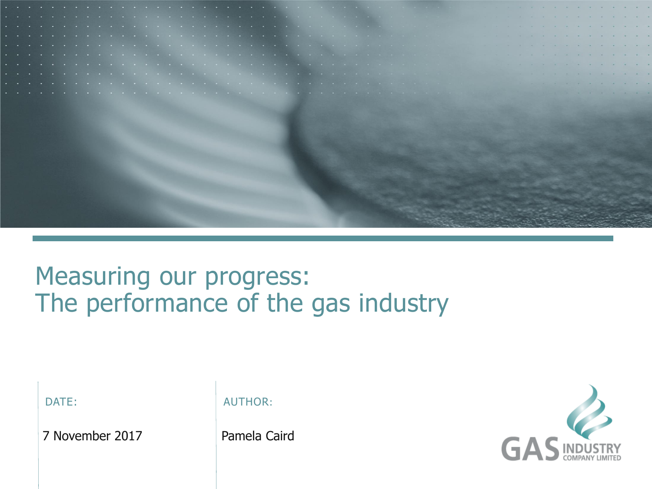

## Measuring our progress: The performance of the gas industry

| ۰. |  |  |
|----|--|--|
|    |  |  |

7 November 2017 Pamela Caird

AUTHOR:

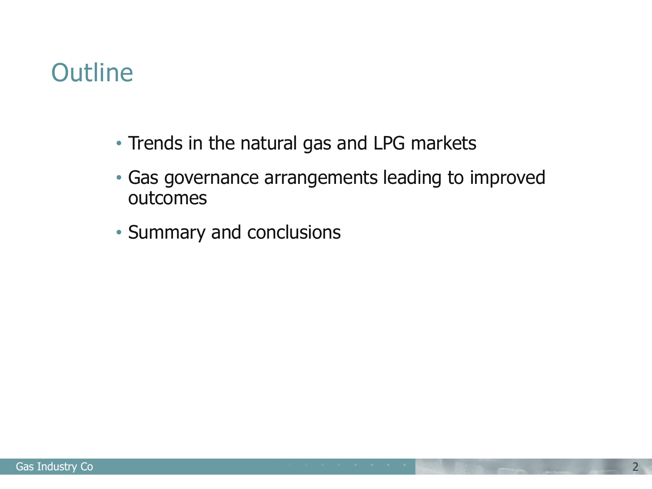## **Outline**

- Trends in the natural gas and LPG markets
- Gas governance arrangements leading to improved outcomes
- Summary and conclusions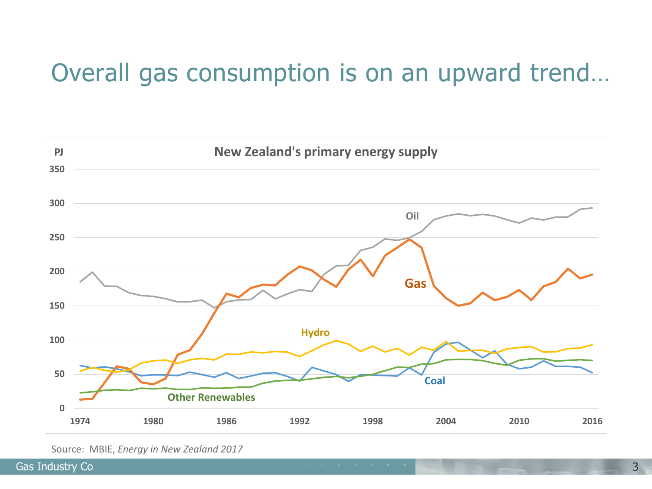## Overall gas consumption is on an upward trend…



Source: MBIE, *Energy in New Zealand 2017*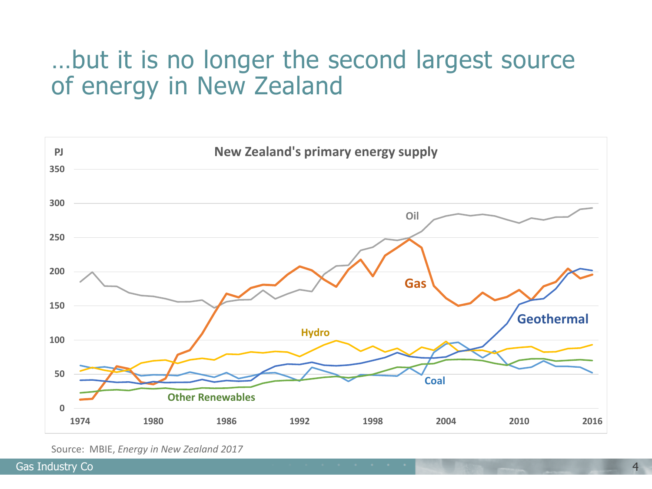#### …but it is no longer the second largest source of energy in New Zealand



Source: MBIE, *Energy in New Zealand 2017*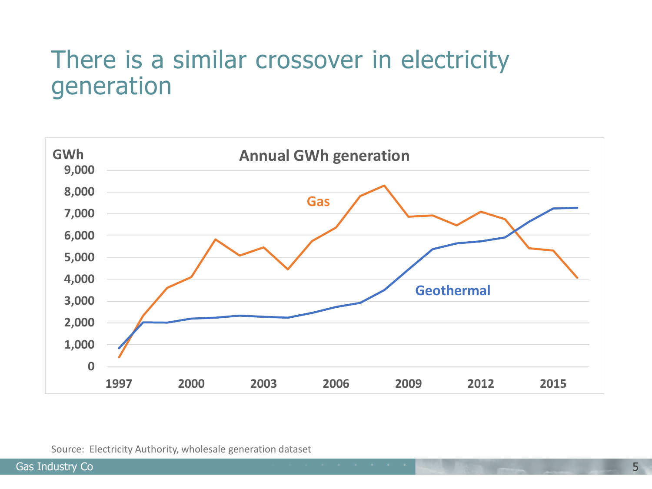## There is a similar crossover in electricity generation

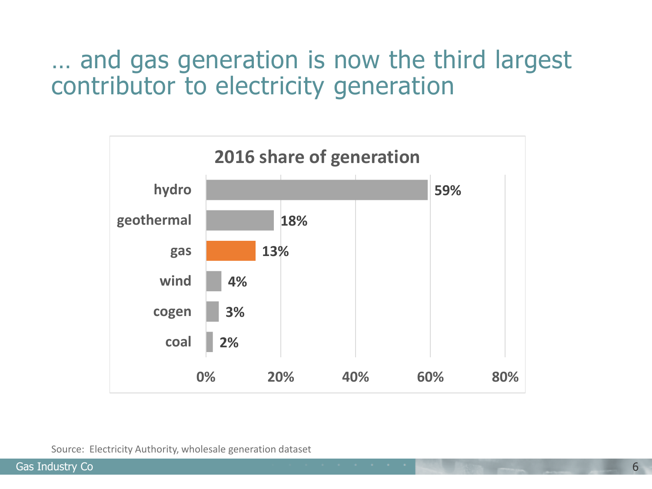### … and gas generation is now the third largest contributor to electricity generation

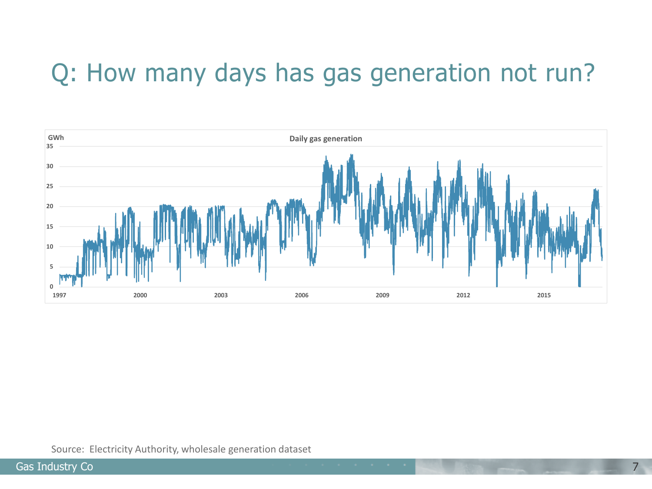# Q: How many days has gas generation not run?

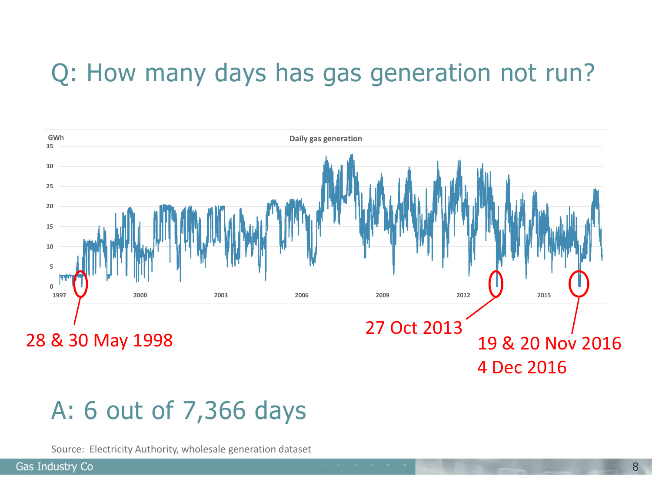# Q: How many days has gas generation not run?



## A: 6 out of 7,366 days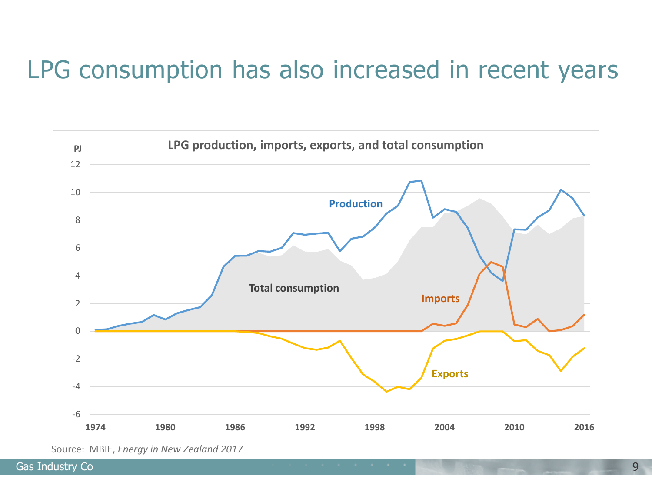## LPG consumption has also increased in recent years



Source: MBIE, *Energy in New Zealand 2017*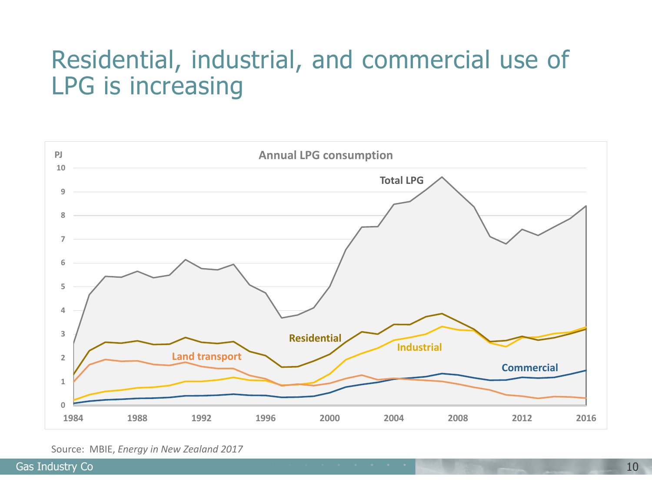## Residential, industrial, and commercial use of LPG is increasing



Source: MBIE, *Energy in New Zealand 2017*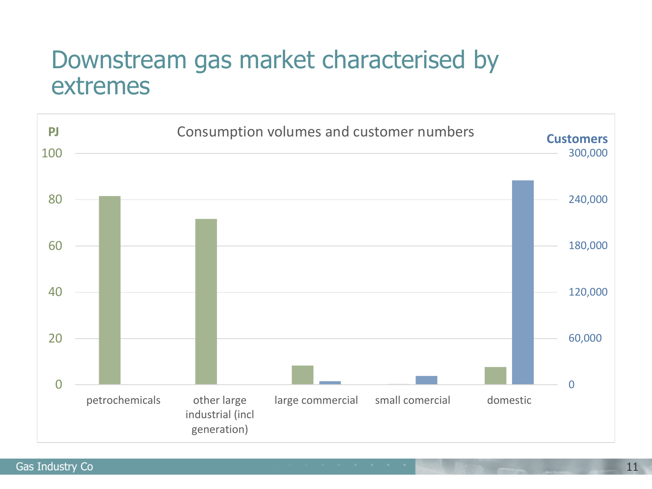#### Downstream gas market characterised by extremes

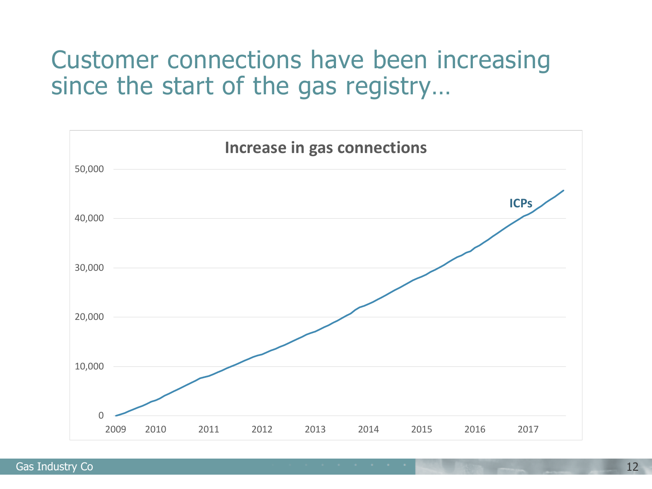#### Customer connections have been increasing since the start of the gas registry…

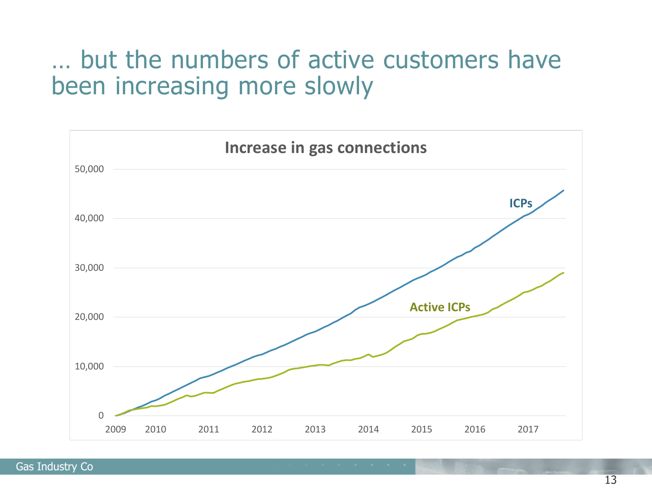#### … but the numbers of active customers have been increasing more slowly

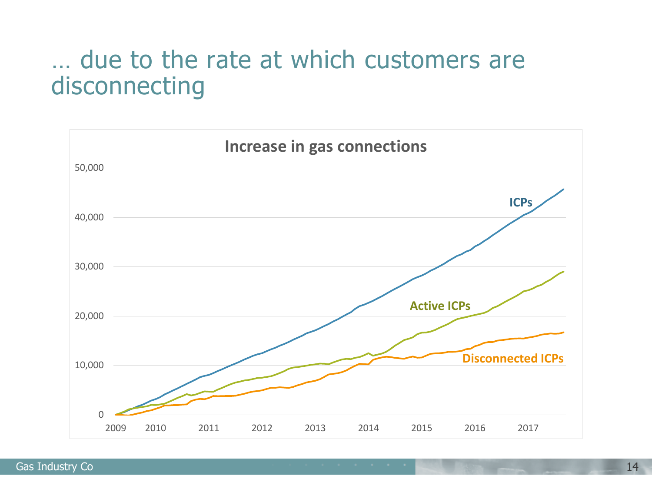## … due to the rate at which customers are disconnecting

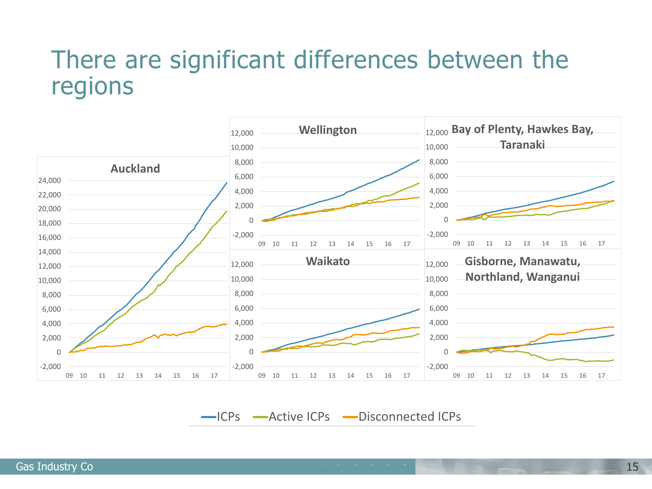#### There are significant differences between the regions



-ICPs -Active ICPs -Disconnected ICPs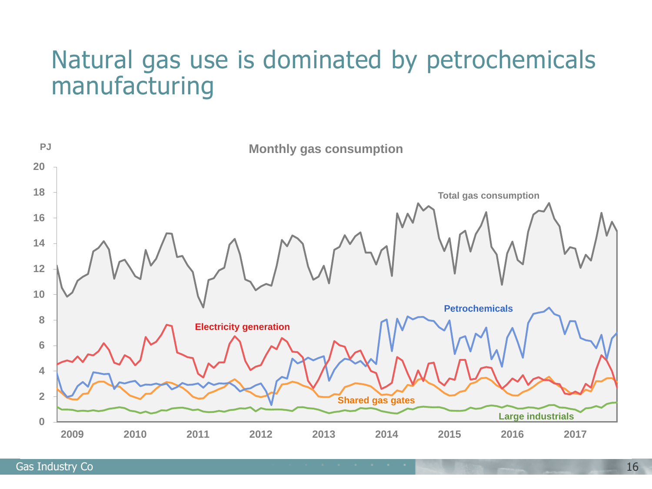## Natural gas use is dominated by petrochemicals manufacturing

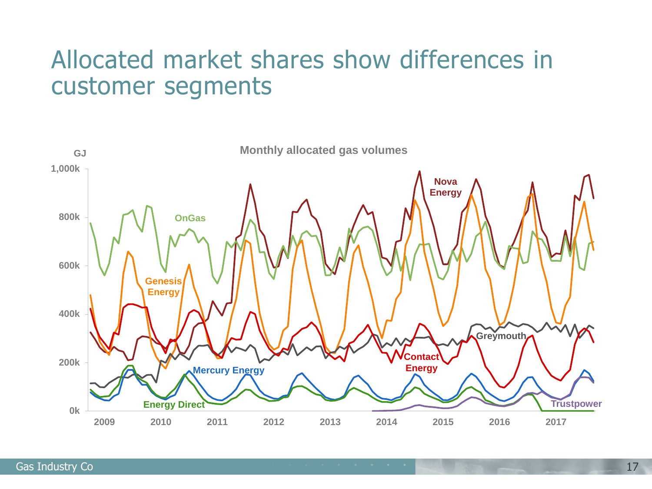## Allocated market shares show differences in customer segments

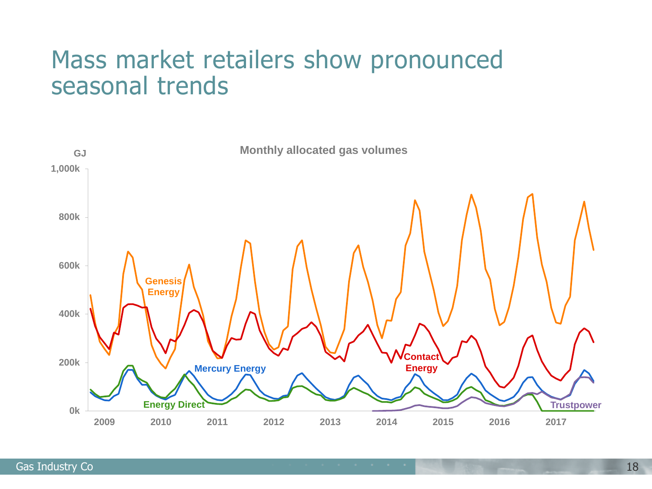#### Mass market retailers show pronounced seasonal trends

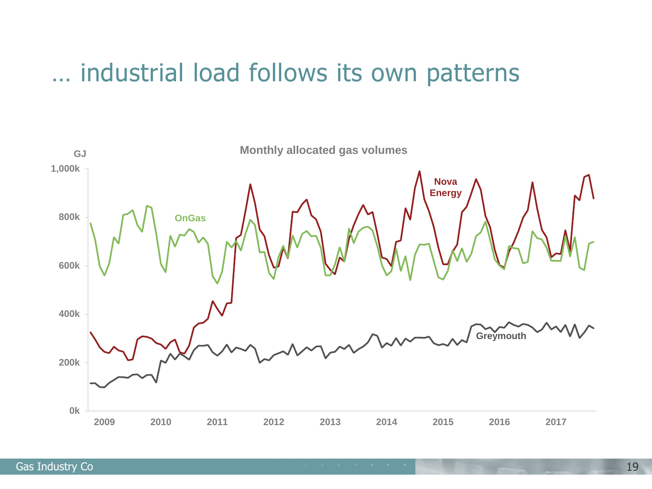#### … industrial load follows its own patterns

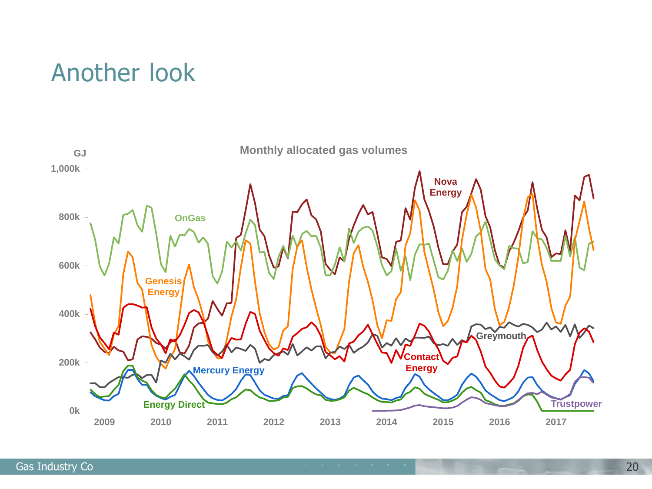#### Another look

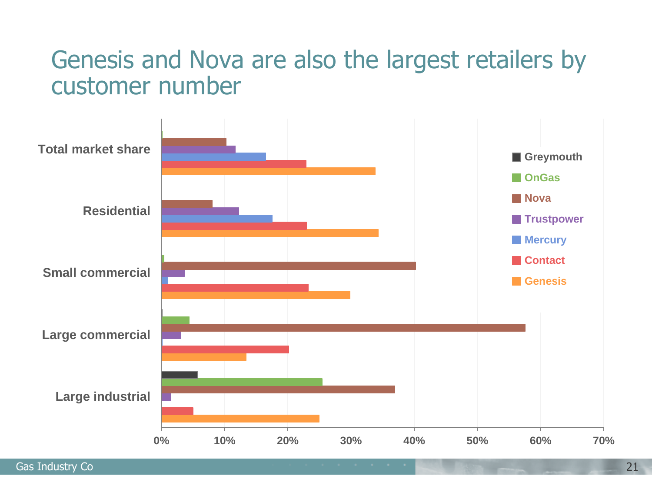#### Genesis and Nova are also the largest retailers by customer number



Gas Industry Co 21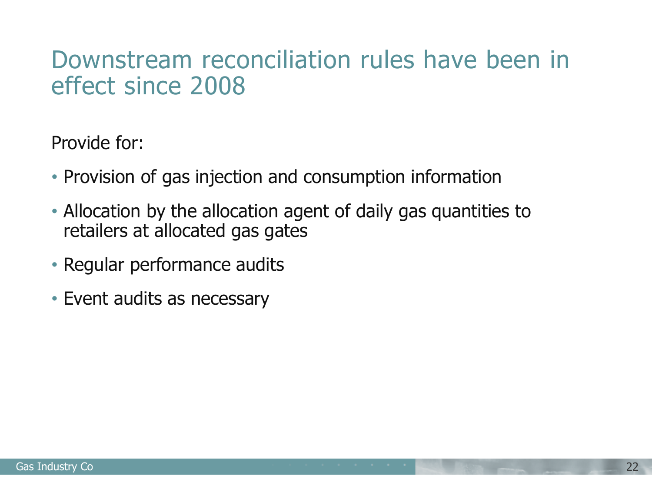#### Downstream reconciliation rules have been in effect since 2008

Provide for:

- Provision of gas injection and consumption information
- Allocation by the allocation agent of daily gas quantities to retailers at allocated gas gates
- Regular performance audits
- Event audits as necessary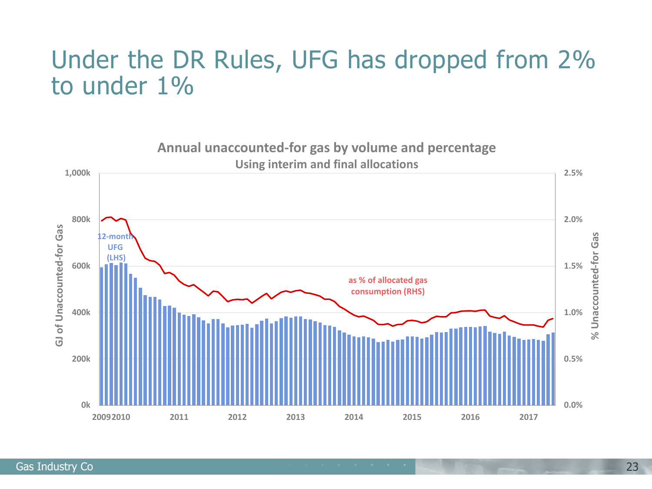### Under the DR Rules, UFG has dropped from 2% to under 1%

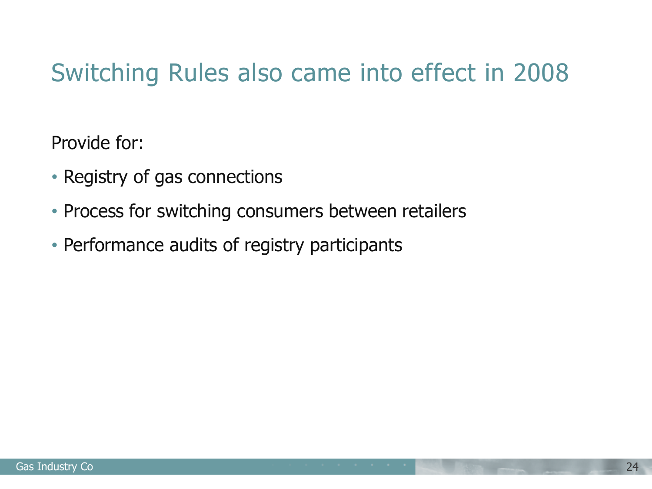# Switching Rules also came into effect in 2008

Provide for:

- Registry of gas connections
- Process for switching consumers between retailers
- Performance audits of registry participants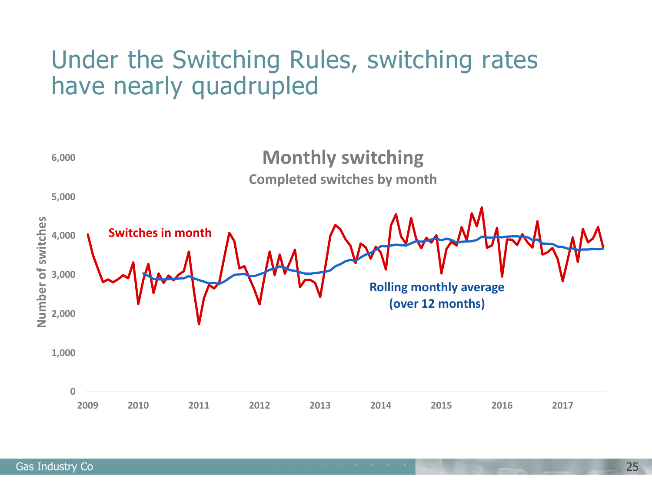#### Under the Switching Rules, switching rates have nearly quadrupled

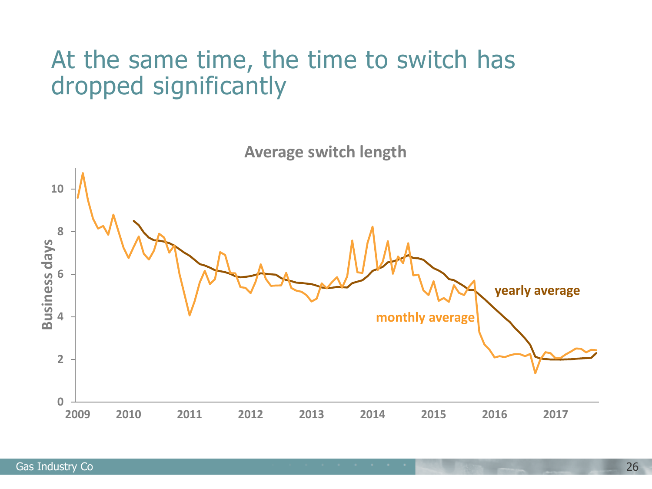## At the same time, the time to switch has dropped significantly

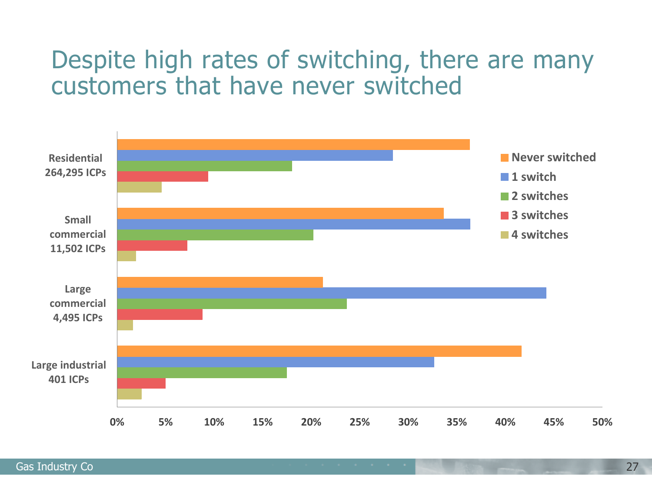### Despite high rates of switching, there are many customers that have never switched

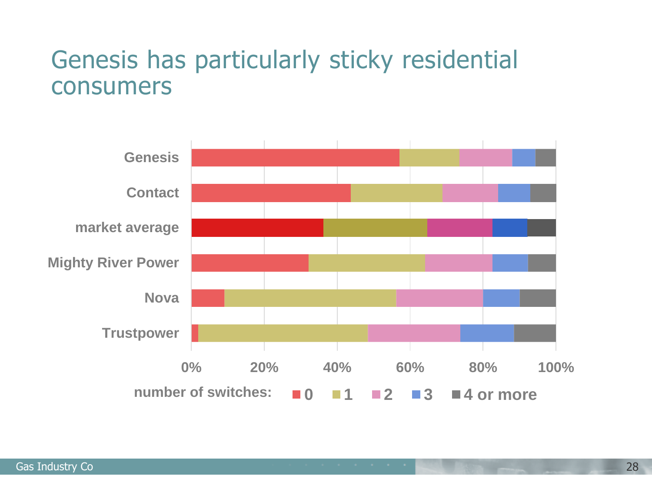#### Genesis has particularly sticky residential consumers

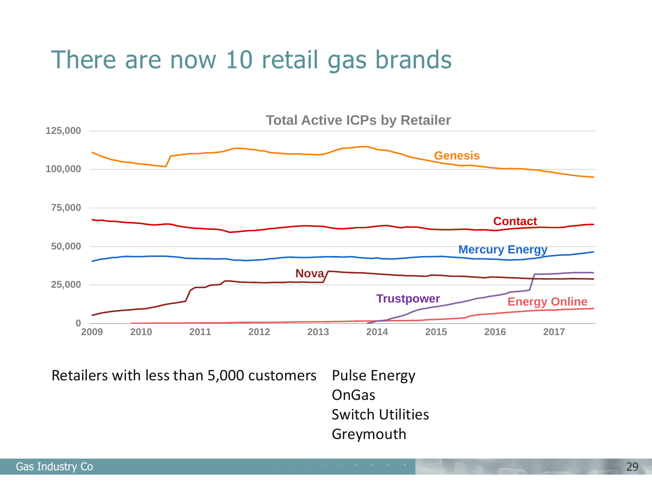## There are now 10 retail gas brands



Pulse Energy OnGas Switch Utilities Greymouth Retailers with less than 5,000 customers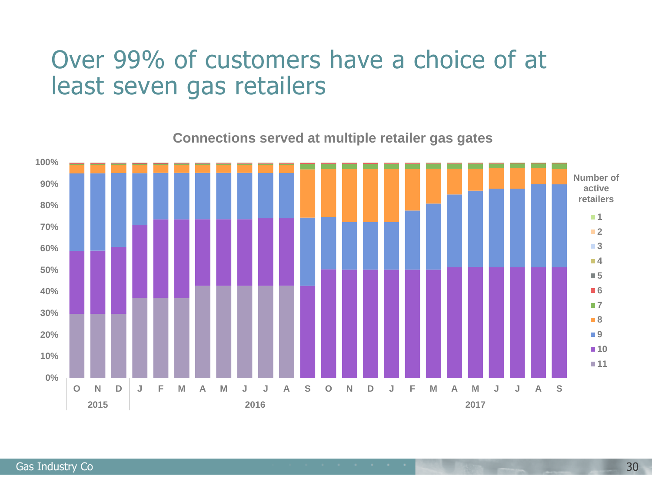#### Over 99% of customers have a choice of at least seven gas retailers

**0% 10% 20% 30% 40% 50% 60% 70% 80% 90% 100% O N D J F M A M J J A S O N D J F M A M J J A S 2015 2016 2017 1 2 3 4 5 6 7 8 9 10 11 Number of active retailers**

**Connections served at multiple retailer gas gates**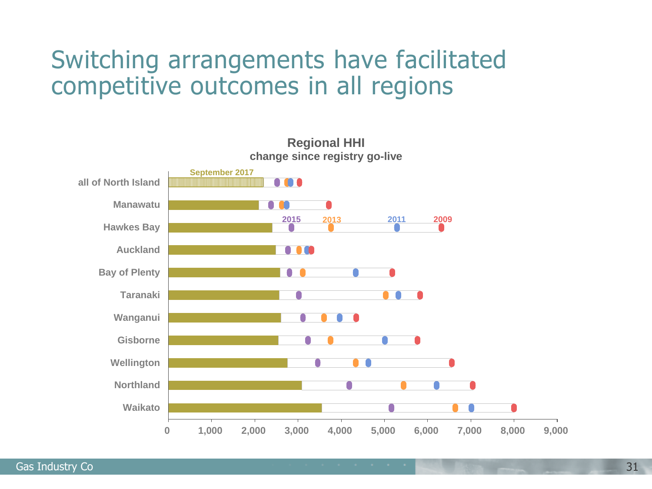### Switching arrangements have facilitated competitive outcomes in all regions